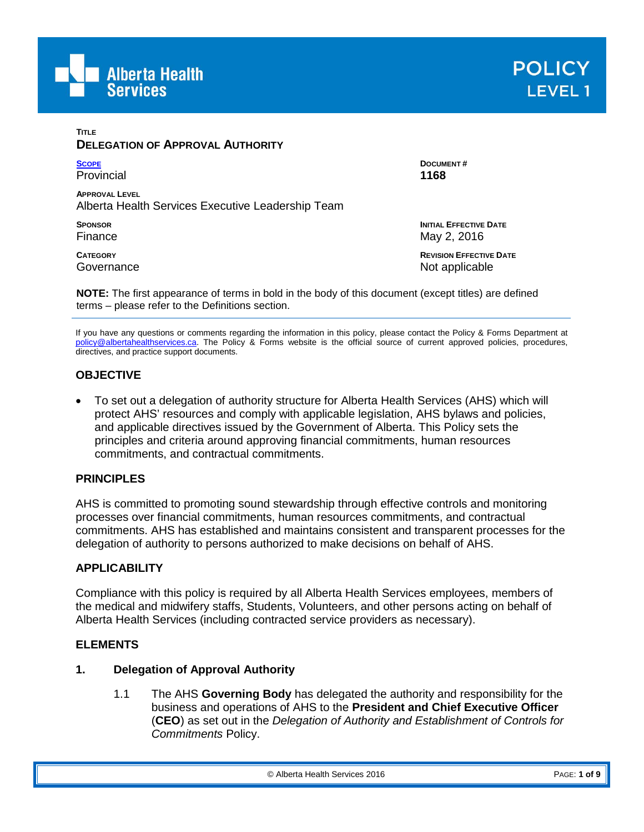



### **TITLE DELEGATION OF APPROVAL AUTHORITY [SCOPE](#page-0-0)**

Provincial **APPROVAL LEVEL** Alberta Health Services Executive Leadership Team

**SPONSOR** Finance

**CATEGORY Governance**  **DOCUMENT # 1168**

**INITIAL EFFECTIVE DATE** May 2, 2016

**REVISION EFFECTIVE DATE** Not applicable

**NOTE:** The first appearance of terms in bold in the body of this document (except titles) are defined terms – please refer to the Definitions section.

If you have any questions or comments regarding the information in this policy, please contact the Policy & Forms Department at [policy@albertahealthservices.ca.](mailto:policy@albertahealthservices.ca) The Policy & Forms website is the official source of current approved policies, procedures, directives, and practice support documents.

# **OBJECTIVE**

• To set out a delegation of authority structure for Alberta Health Services (AHS) which will protect AHS' resources and comply with applicable legislation, AHS bylaws and policies, and applicable directives issued by the Government of Alberta. This Policy sets the principles and criteria around approving financial commitments, human resources commitments, and contractual commitments.

## **PRINCIPLES**

AHS is committed to promoting sound stewardship through effective controls and monitoring processes over financial commitments, human resources commitments, and contractual commitments. AHS has established and maintains consistent and transparent processes for the delegation of authority to persons authorized to make decisions on behalf of AHS.

## <span id="page-0-0"></span>**APPLICABILITY**

Compliance with this policy is required by all Alberta Health Services employees, members of the medical and midwifery staffs, Students, Volunteers, and other persons acting on behalf of Alberta Health Services (including contracted service providers as necessary).

#### **ELEMENTS**

#### **1. Delegation of Approval Authority**

1.1 The AHS **Governing Body** has delegated the authority and responsibility for the business and operations of AHS to the **President and Chief Executive Officer** (**CEO**) as set out in the *Delegation of Authority and Establishment of Controls for Commitments* Policy.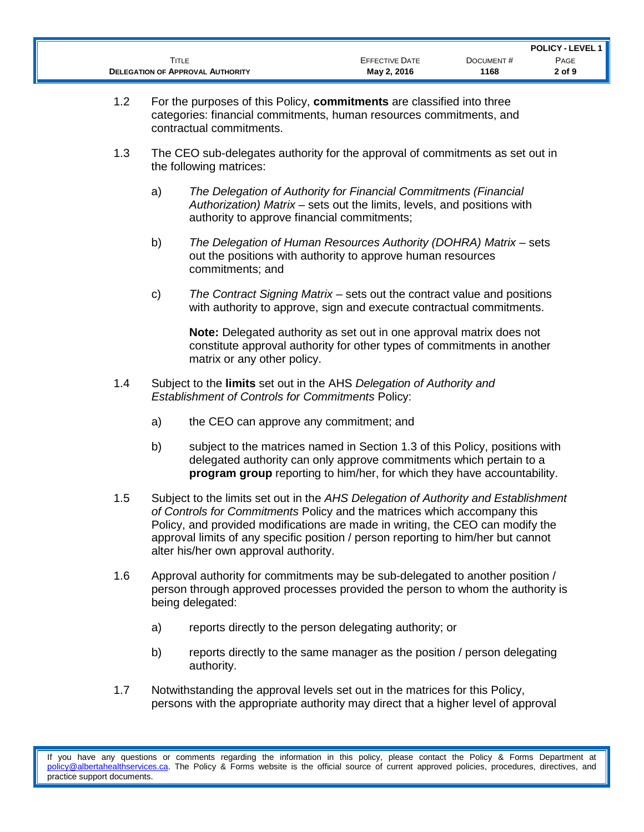|                                         |                       |           | <b>POLICY - LEVEL 1 II</b> |
|-----------------------------------------|-----------------------|-----------|----------------------------|
| TITLE                                   | <b>EFFECTIVE DATE</b> | DOCUMENT# | PAGE                       |
| <b>DELEGATION OF APPROVAL AUTHORITY</b> | May 2, 2016           | 1168      | 2 of 9                     |

- 1.2 For the purposes of this Policy, **commitments** are classified into three categories: financial commitments, human resources commitments, and contractual commitments.
- 1.3 The CEO sub-delegates authority for the approval of commitments as set out in the following matrices:
	- a) *The Delegation of Authority for Financial Commitments (Financial Authorization) Matrix* – sets out the limits, levels, and positions with authority to approve financial commitments;
	- b) *The Delegation of Human Resources Authority (DOHRA) Matrix* sets out the positions with authority to approve human resources commitments; and
	- c) *The Contract Signing Matrix* sets out the contract value and positions with authority to approve, sign and execute contractual commitments.

**Note:** Delegated authority as set out in one approval matrix does not constitute approval authority for other types of commitments in another matrix or any other policy.

- 1.4 Subject to the **limits** set out in the AHS *Delegation of Authority and Establishment of Controls for Commitments* Policy:
	- a) the CEO can approve any commitment; and
	- b) subject to the matrices named in Section 1.3 of this Policy, positions with delegated authority can only approve commitments which pertain to a **program group** reporting to him/her, for which they have accountability.
- 1.5 Subject to the limits set out in the *AHS Delegation of Authority and Establishment of Controls for Commitments* Policy and the matrices which accompany this Policy, and provided modifications are made in writing, the CEO can modify the approval limits of any specific position / person reporting to him/her but cannot alter his/her own approval authority.
- 1.6 Approval authority for commitments may be sub-delegated to another position / person through approved processes provided the person to whom the authority is being delegated:
	- a) reports directly to the person delegating authority; or
	- b) reports directly to the same manager as the position / person delegating authority.
- 1.7 Notwithstanding the approval levels set out in the matrices for this Policy, persons with the appropriate authority may direct that a higher level of approval

If you have any questions or comments regarding the information in this policy, please contact the Policy & Forms Department at [policy@albertahealthservices.ca.](mailto:policy@albertahealthservices.ca) The Policy & Forms website is the official source of current approved policies, procedures, directives, and practice support documents.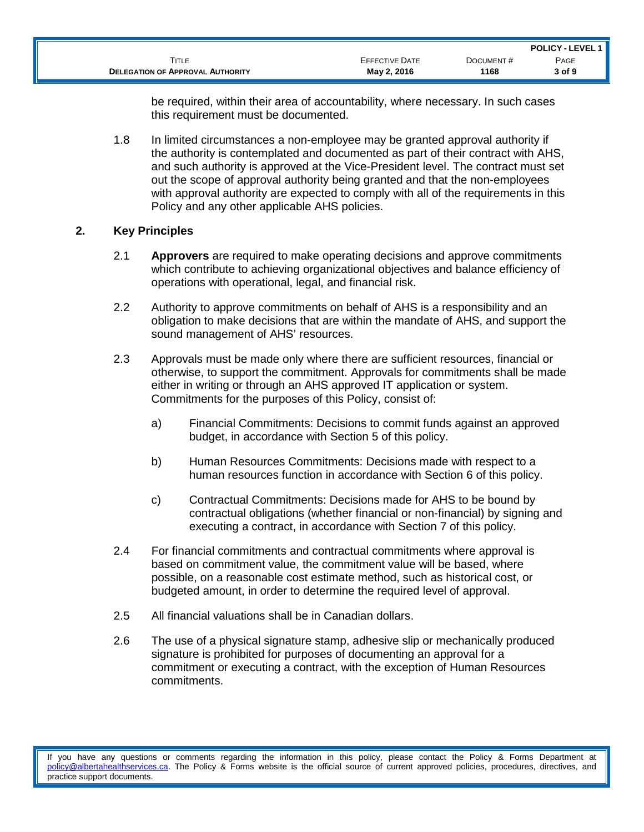|                                         |                       |           | <b>POLICY - LEVEL 1</b> |
|-----------------------------------------|-----------------------|-----------|-------------------------|
| Title                                   | <b>EFFECTIVE DATE</b> | DOCUMENT# | PAGE                    |
| <b>DELEGATION OF APPROVAL AUTHORITY</b> | May 2, 2016           | 1168      | 3 of 9                  |

be required, within their area of accountability, where necessary. In such cases this requirement must be documented.

1.8 In limited circumstances a non-employee may be granted approval authority if the authority is contemplated and documented as part of their contract with AHS, and such authority is approved at the Vice-President level. The contract must set out the scope of approval authority being granted and that the non-employees with approval authority are expected to comply with all of the requirements in this Policy and any other applicable AHS policies.

### **2. Key Principles**

- 2.1 **Approvers** are required to make operating decisions and approve commitments which contribute to achieving organizational objectives and balance efficiency of operations with operational, legal, and financial risk.
- 2.2 Authority to approve commitments on behalf of AHS is a responsibility and an obligation to make decisions that are within the mandate of AHS, and support the sound management of AHS' resources.
- 2.3 Approvals must be made only where there are sufficient resources, financial or otherwise, to support the commitment. Approvals for commitments shall be made either in writing or through an AHS approved IT application or system. Commitments for the purposes of this Policy, consist of:
	- a) Financial Commitments: Decisions to commit funds against an approved budget, in accordance with Section 5 of this policy.
	- b) Human Resources Commitments: Decisions made with respect to a human resources function in accordance with Section 6 of this policy.
	- c) Contractual Commitments: Decisions made for AHS to be bound by contractual obligations (whether financial or non-financial) by signing and executing a contract, in accordance with Section 7 of this policy.
- 2.4 For financial commitments and contractual commitments where approval is based on commitment value, the commitment value will be based, where possible, on a reasonable cost estimate method, such as historical cost, or budgeted amount, in order to determine the required level of approval.
- 2.5 All financial valuations shall be in Canadian dollars.
- 2.6 The use of a physical signature stamp, adhesive slip or mechanically produced signature is prohibited for purposes of documenting an approval for a commitment or executing a contract, with the exception of Human Resources commitments.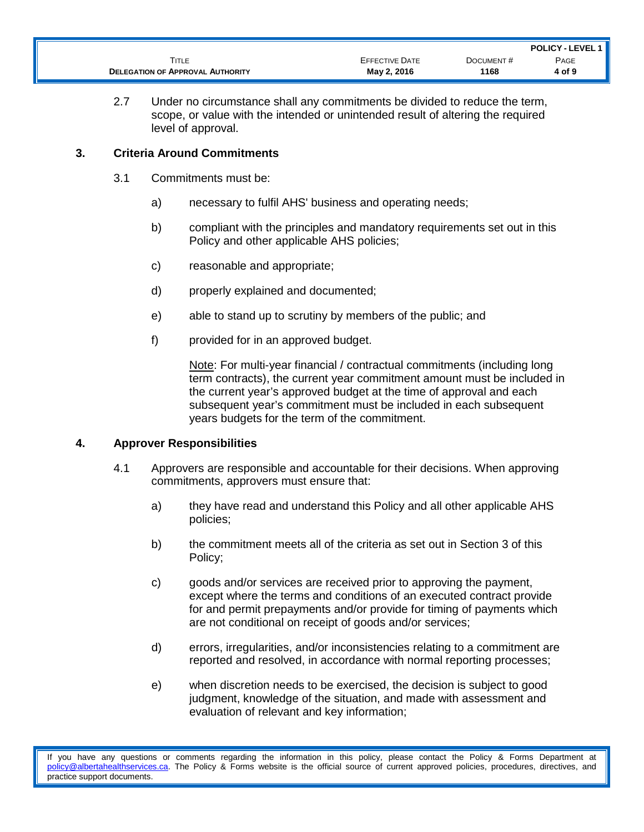|                                         |                       |           | <b>POLICY - LEVEL 1   </b> |
|-----------------------------------------|-----------------------|-----------|----------------------------|
| TITLE                                   | <b>EFFECTIVE DATE</b> | DOCUMENT# | PAGE                       |
| <b>DELEGATION OF APPROVAL AUTHORITY</b> | May 2, 2016           | 1168      | 4 of 9                     |

2.7 Under no circumstance shall any commitments be divided to reduce the term, scope, or value with the intended or unintended result of altering the required level of approval.

## **3. Criteria Around Commitments**

- 3.1 Commitments must be:
	- a) necessary to fulfil AHS' business and operating needs;
	- b) compliant with the principles and mandatory requirements set out in this Policy and other applicable AHS policies;
	- c) reasonable and appropriate;
	- d) properly explained and documented;
	- e) able to stand up to scrutiny by members of the public; and
	- f) provided for in an approved budget.

Note: For multi-year financial / contractual commitments (including long term contracts), the current year commitment amount must be included in the current year's approved budget at the time of approval and each subsequent year's commitment must be included in each subsequent years budgets for the term of the commitment.

#### **4. Approver Responsibilities**

- 4.1 Approvers are responsible and accountable for their decisions. When approving commitments, approvers must ensure that:
	- a) they have read and understand this Policy and all other applicable AHS policies;
	- b) the commitment meets all of the criteria as set out in Section 3 of this Policy;
	- c) goods and/or services are received prior to approving the payment, except where the terms and conditions of an executed contract provide for and permit prepayments and/or provide for timing of payments which are not conditional on receipt of goods and/or services;
	- d) errors, irregularities, and/or inconsistencies relating to a commitment are reported and resolved, in accordance with normal reporting processes;
	- e) when discretion needs to be exercised, the decision is subject to good judgment, knowledge of the situation, and made with assessment and evaluation of relevant and key information;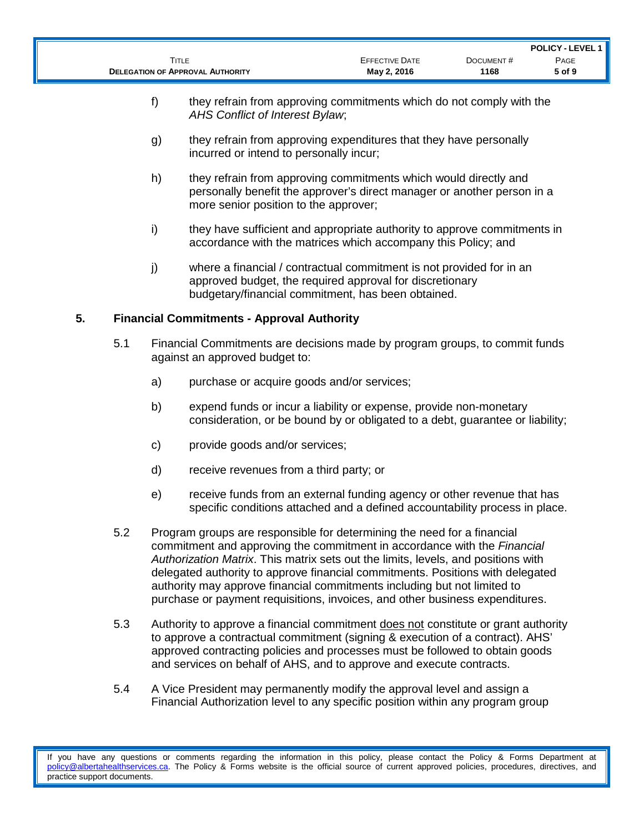|                                         |                       |           | <b>POLICY - LEVEL 1   </b> |
|-----------------------------------------|-----------------------|-----------|----------------------------|
| <b>FITLE</b>                            | <b>EFFECTIVE DATE</b> | DOCUMENT# | PAGE                       |
| <b>DELEGATION OF APPROVAL AUTHORITY</b> | May 2, 2016           | 1168      | 5 of 9                     |

- f) they refrain from approving commitments which do not comply with the *AHS Conflict of Interest Bylaw*;
- g) they refrain from approving expenditures that they have personally incurred or intend to personally incur;
- h) they refrain from approving commitments which would directly and personally benefit the approver's direct manager or another person in a more senior position to the approver;
- i) they have sufficient and appropriate authority to approve commitments in accordance with the matrices which accompany this Policy; and
- j) where a financial / contractual commitment is not provided for in an approved budget, the required approval for discretionary budgetary/financial commitment, has been obtained.

### **5. Financial Commitments - Approval Authority**

- 5.1 Financial Commitments are decisions made by program groups, to commit funds against an approved budget to:
	- a) purchase or acquire goods and/or services;
	- b) expend funds or incur a liability or expense, provide non-monetary consideration, or be bound by or obligated to a debt, guarantee or liability;
	- c) provide goods and/or services;
	- d) receive revenues from a third party; or
	- e) receive funds from an external funding agency or other revenue that has specific conditions attached and a defined accountability process in place.
- 5.2 Program groups are responsible for determining the need for a financial commitment and approving the commitment in accordance with the *Financial Authorization Matrix*. This matrix sets out the limits, levels, and positions with delegated authority to approve financial commitments. Positions with delegated authority may approve financial commitments including but not limited to purchase or payment requisitions, invoices, and other business expenditures.
- 5.3 Authority to approve a financial commitment does not constitute or grant authority to approve a contractual commitment (signing & execution of a contract). AHS' approved contracting policies and processes must be followed to obtain goods and services on behalf of AHS, and to approve and execute contracts.
- 5.4 A Vice President may permanently modify the approval level and assign a Financial Authorization level to any specific position within any program group

If you have any questions or comments regarding the information in this policy, please contact the Policy & Forms Department at [policy@albertahealthservices.ca.](mailto:policy@albertahealthservices.ca) The Policy & Forms website is the official source of current approved policies, procedures, directives, and practice support documents.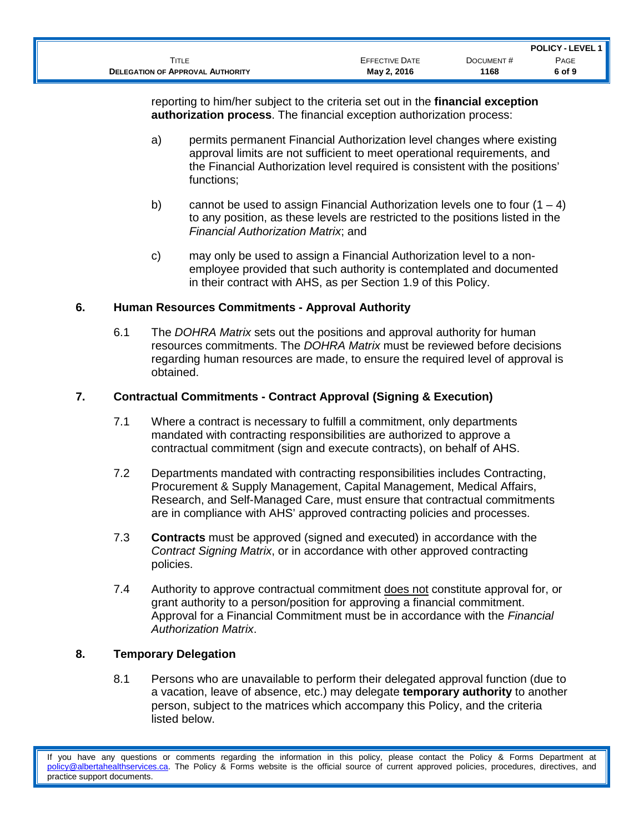|                                         |                       |           | <b>POLICY - LEVEL 1 II</b> |
|-----------------------------------------|-----------------------|-----------|----------------------------|
| TITLE                                   | <b>EFFECTIVE DATE</b> | DOCUMENT# | PAGE                       |
| <b>DELEGATION OF APPROVAL AUTHORITY</b> | May 2, 2016           | 1168      | 6 of 9                     |

reporting to him/her subject to the criteria set out in the **financial exception authorization process**. The financial exception authorization process:

- a) permits permanent Financial Authorization level changes where existing approval limits are not sufficient to meet operational requirements, and the Financial Authorization level required is consistent with the positions' functions;
- b) cannot be used to assign Financial Authorization levels one to four  $(1 4)$ to any position, as these levels are restricted to the positions listed in the *Financial Authorization Matrix*; and
- c) may only be used to assign a Financial Authorization level to a nonemployee provided that such authority is contemplated and documented in their contract with AHS, as per Section 1.9 of this Policy.

### **6. Human Resources Commitments - Approval Authority**

6.1 The *DOHRA Matrix* sets out the positions and approval authority for human resources commitments. The *DOHRA Matrix* must be reviewed before decisions regarding human resources are made, to ensure the required level of approval is obtained.

## **7. Contractual Commitments - Contract Approval (Signing & Execution)**

- 7.1 Where a contract is necessary to fulfill a commitment, only departments mandated with contracting responsibilities are authorized to approve a contractual commitment (sign and execute contracts), on behalf of AHS.
- 7.2 Departments mandated with contracting responsibilities includes Contracting, Procurement & Supply Management, Capital Management, Medical Affairs, Research, and Self-Managed Care, must ensure that contractual commitments are in compliance with AHS' approved contracting policies and processes.
- 7.3 **Contracts** must be approved (signed and executed) in accordance with the *Contract Signing Matrix*, or in accordance with other approved contracting policies.
- 7.4 Authority to approve contractual commitment does not constitute approval for, or grant authority to a person/position for approving a financial commitment. Approval for a Financial Commitment must be in accordance with the *Financial Authorization Matrix*.

## **8. Temporary Delegation**

8.1 Persons who are unavailable to perform their delegated approval function (due to a vacation, leave of absence, etc.) may delegate **temporary authority** to another person, subject to the matrices which accompany this Policy, and the criteria listed below.

If you have any questions or comments regarding the information in this policy, please contact the Policy & Forms Department at [policy@albertahealthservices.ca.](mailto:policy@albertahealthservices.ca) The Policy & Forms website is the official source of current approved policies, procedures, directives, and practice support documents.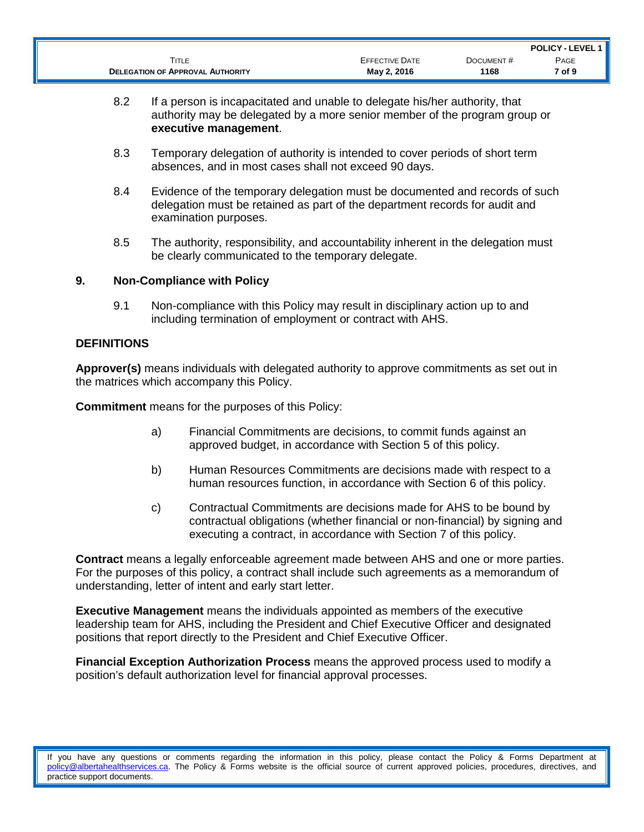|                                         |                       |           | <b>POLICY - LEVEL 1 II</b> |
|-----------------------------------------|-----------------------|-----------|----------------------------|
| ĪITLE                                   | <b>EFFECTIVE DATE</b> | DOCUMENT# | PAGE                       |
| <b>DELEGATION OF APPROVAL AUTHORITY</b> | May 2, 2016           | 1168      | 7 of 9                     |

- 8.2 If a person is incapacitated and unable to delegate his/her authority, that authority may be delegated by a more senior member of the program group or **executive management**.
- 8.3 Temporary delegation of authority is intended to cover periods of short term absences, and in most cases shall not exceed 90 days.
- 8.4 Evidence of the temporary delegation must be documented and records of such delegation must be retained as part of the department records for audit and examination purposes.
- 8.5 The authority, responsibility, and accountability inherent in the delegation must be clearly communicated to the temporary delegate.

#### **9. Non-Compliance with Policy**

9.1 Non-compliance with this Policy may result in disciplinary action up to and including termination of employment or contract with AHS.

### **DEFINITIONS**

**Approver(s)** means individuals with delegated authority to approve commitments as set out in the matrices which accompany this Policy.

**Commitment** means for the purposes of this Policy:

- a) Financial Commitments are decisions, to commit funds against an approved budget, in accordance with Section 5 of this policy.
- b) Human Resources Commitments are decisions made with respect to a human resources function, in accordance with Section 6 of this policy.
- c) Contractual Commitments are decisions made for AHS to be bound by contractual obligations (whether financial or non-financial) by signing and executing a contract, in accordance with Section 7 of this policy.

**Contract** means a legally enforceable agreement made between AHS and one or more parties. For the purposes of this policy, a contract shall include such agreements as a memorandum of understanding, letter of intent and early start letter.

**Executive Management** means the individuals appointed as members of the executive leadership team for AHS, including the President and Chief Executive Officer and designated positions that report directly to the President and Chief Executive Officer.

**Financial Exception Authorization Process** means the approved process used to modify a position's default authorization level for financial approval processes.

If you have any questions or comments regarding the information in this policy, please contact the Policy & Forms Department at [policy@albertahealthservices.ca.](mailto:policy@albertahealthservices.ca) The Policy & Forms website is the official source of current approved policies, procedures, directives, and practice support documents.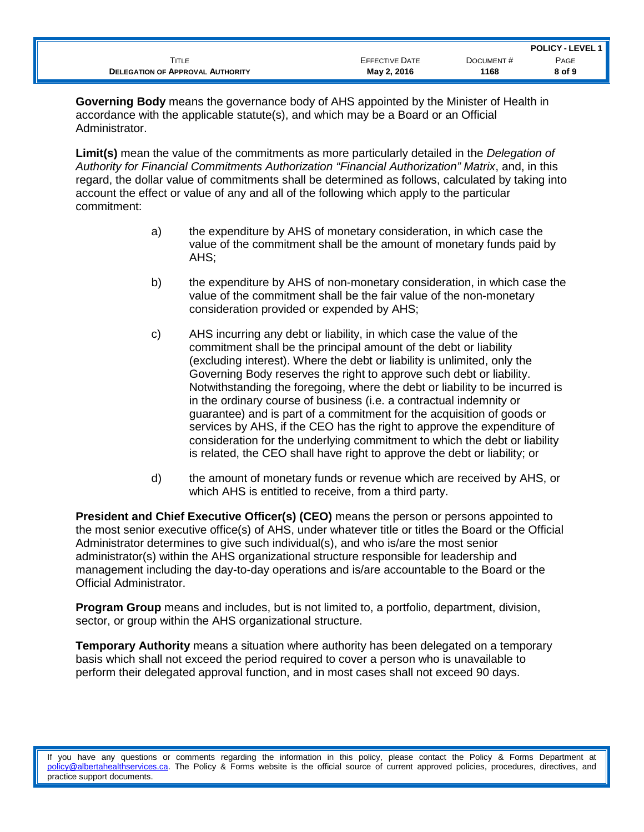|                                         |                       |           | <b>POLICY - LEVEL 1   </b> |
|-----------------------------------------|-----------------------|-----------|----------------------------|
| Title                                   | <b>EFFECTIVE DATE</b> | DOCUMENT# | PAGE                       |
| <b>DELEGATION OF APPROVAL AUTHORITY</b> | May 2, 2016           | 1168      | 8 of 9                     |

**Governing Body** means the governance body of AHS appointed by the Minister of Health in accordance with the applicable statute(s), and which may be a Board or an Official Administrator.

**Limit(s)** mean the value of the commitments as more particularly detailed in the *Delegation of Authority for Financial Commitments Authorization "Financial Authorization" Matrix*, and, in this regard, the dollar value of commitments shall be determined as follows, calculated by taking into account the effect or value of any and all of the following which apply to the particular commitment:

- a) the expenditure by AHS of monetary consideration, in which case the value of the commitment shall be the amount of monetary funds paid by AHS;
- b) the expenditure by AHS of non-monetary consideration, in which case the value of the commitment shall be the fair value of the non-monetary consideration provided or expended by AHS;
- c) AHS incurring any debt or liability, in which case the value of the commitment shall be the principal amount of the debt or liability (excluding interest). Where the debt or liability is unlimited, only the Governing Body reserves the right to approve such debt or liability. Notwithstanding the foregoing, where the debt or liability to be incurred is in the ordinary course of business (i.e. a contractual indemnity or guarantee) and is part of a commitment for the acquisition of goods or services by AHS, if the CEO has the right to approve the expenditure of consideration for the underlying commitment to which the debt or liability is related, the CEO shall have right to approve the debt or liability; or
- d) the amount of monetary funds or revenue which are received by AHS, or which AHS is entitled to receive, from a third party.

**President and Chief Executive Officer(s) (CEO)** means the person or persons appointed to the most senior executive office(s) of AHS, under whatever title or titles the Board or the Official Administrator determines to give such individual(s), and who is/are the most senior administrator(s) within the AHS organizational structure responsible for leadership and management including the day-to-day operations and is/are accountable to the Board or the Official Administrator.

**Program Group** means and includes, but is not limited to, a portfolio, department, division, sector, or group within the AHS organizational structure.

**Temporary Authority** means a situation where authority has been delegated on a temporary basis which shall not exceed the period required to cover a person who is unavailable to perform their delegated approval function, and in most cases shall not exceed 90 days.

If you have any questions or comments regarding the information in this policy, please contact the Policy & Forms Department at [policy@albertahealthservices.ca.](mailto:policy@albertahealthservices.ca) The Policy & Forms website is the official source of current approved policies, procedures, directives, and practice support documents.